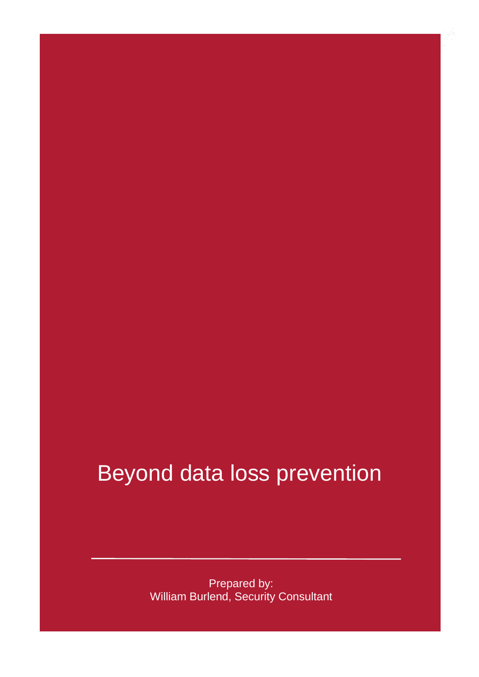### Beyond data loss prevention

Prepared by: William Burlend, Security Consultant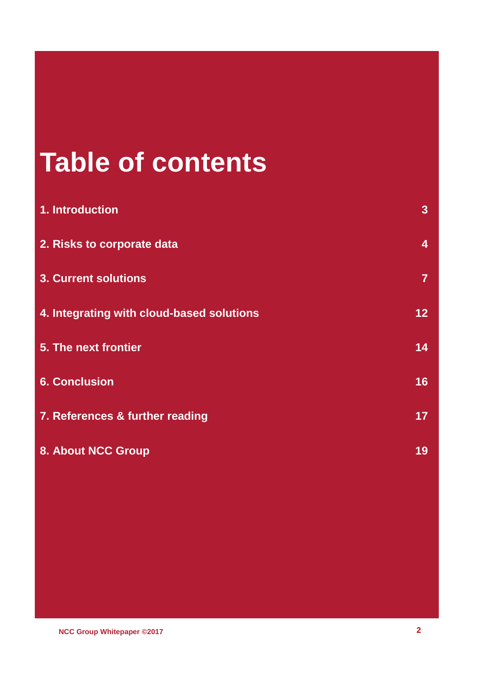# **Table of contents [1. Introduction](#page-2-0) 3 [2. Risks to corporate data](#page-3-0) 4 [3. Current solutions](#page-6-0) 7 [4. Integrating with cloud-based solutions](#page-11-0) 12 [5. The next frontier](#page-13-0) 14 [6. Conclusion](#page-15-0) 16 [7. References & further reading](#page-16-0) 17 [8. About NCC Group](#page-18-0) 19**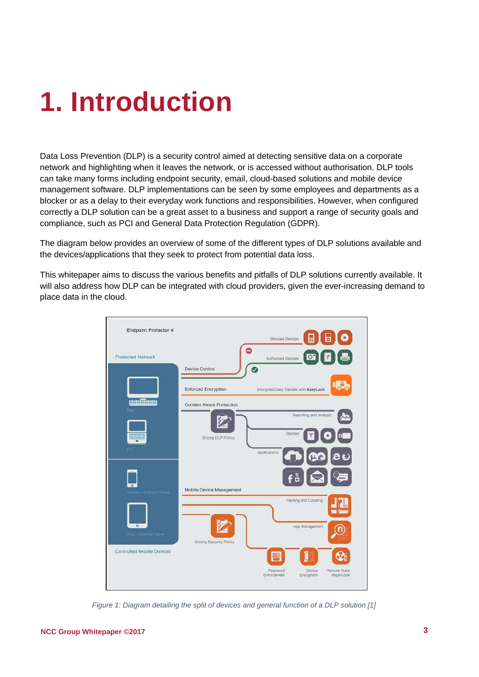## <span id="page-2-0"></span>**1. Introduction**

Data Loss Prevention (DLP) is a security control aimed at detecting sensitive data on a corporate network and highlighting when it leaves the network, or is accessed without authorisation. DLP tools can take many forms including endpoint security, email, cloud-based solutions and mobile device management software. DLP implementations can be seen by some employees and departments as a blocker or as a delay to their everyday work functions and responsibilities. However, when configured correctly a DLP solution can be a great asset to a business and support a range of security goals and compliance, such as PCI and General Data Protection Regulation (GDPR).

The diagram below provides an overview of some of the different types of DLP solutions available and the devices/applications that they seek to protect from potential data loss.

This whitepaper aims to discuss the various benefits and pitfalls of DLP solutions currently available. It will also address how DLP can be integrated with cloud providers, given the ever-increasing demand to place data in the cloud.

| <b>Endpoint Protector 4</b>      | ⊞<br>ढ<br><b>Blocked Devices</b>                                    |                          |
|----------------------------------|---------------------------------------------------------------------|--------------------------|
| <b>Protected Network</b>         | $\circ$<br>Authorized Devices<br>Device Control                     |                          |
|                                  | <b>Enforced Encryption</b><br>Encrypted Data Transfer with EasyLook | BU S                     |
| <b>amilium</b><br>Mad            | <b>Content Aware Protection</b><br>Reporting and Analysis           |                          |
| <b>THEFT</b><br>PC               | Devices<br>Strong DLP Policy<br>Applications                        |                          |
|                                  | CO<br>få                                                            | eu                       |
| iPhone / Android Phone           | Mobile Device Management<br>Tracking and Locating                   |                          |
| $\circ$<br>iPad / Android Tablet | App Management<br>Strong Security Policy                            |                          |
| <b>Controlled Mobile Devices</b> | 噩                                                                   |                          |
|                                  | Password<br>Device<br>Enforcement<br>Encryption                     | Remote Nuke<br>Wipe/Lock |

<span id="page-2-1"></span>*Figure 1: Diagram detailing the split of devices and general function of a DLP solution [1]*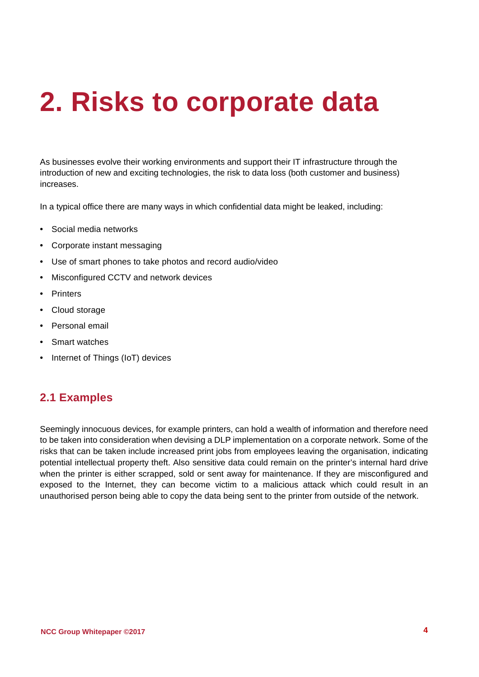## <span id="page-3-0"></span>**2. Risks to corporate data**

As businesses evolve their working environments and support their IT infrastructure through the introduction of new and exciting technologies, the risk to data loss (both customer and business) increases.

In a typical office there are many ways in which confidential data might be leaked, including:

- Social media networks
- Corporate instant messaging
- Use of smart phones to take photos and record audio/video
- Misconfigured CCTV and network devices
- Printers
- Cloud storage
- Personal email
- Smart watches
- Internet of Things (IoT) devices

#### **2.1 Examples**

Seemingly innocuous devices, for example printers, can hold a wealth of information and therefore need to be taken into consideration when devising a DLP implementation on a corporate network. Some of the risks that can be taken include increased print jobs from employees leaving the organisation, indicating potential intellectual property theft. Also sensitive data could remain on the printer's internal hard drive when the printer is either scrapped, sold or sent away for maintenance. If they are misconfigured and exposed to the Internet, they can become victim to a malicious attack which could result in an unauthorised person being able to copy the data being sent to the printer from outside of the network.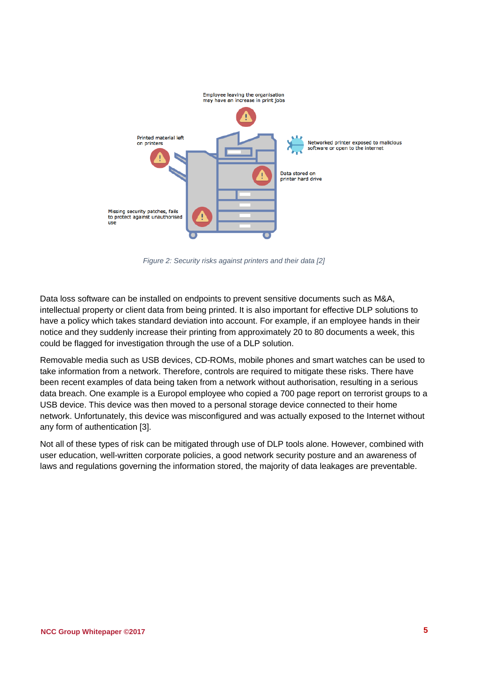

*Figure 2: Security risks against printers and their data [2]*

<span id="page-4-0"></span>Data loss software can be installed on endpoints to prevent sensitive documents such as M&A, intellectual property or client data from being printed. It is also important for effective DLP solutions to have a policy which takes standard deviation into account. For example, if an employee hands in their notice and they suddenly increase their printing from approximately 20 to 80 documents a week, this could be flagged for investigation through the use of a DLP solution.

Removable media such as USB devices, CD-ROMs, mobile phones and smart watches can be used to take information from a network. Therefore, controls are required to mitigate these risks. There have been recent examples of data being taken from a network without authorisation, resulting in a serious data breach. One example is a Europol employee who copied a 700 page report on terrorist groups to a USB device. This device was then moved to a personal storage device connected to their home network. Unfortunately, this device was misconfigured and was actually exposed to the Internet without any form of authentication [3].

Not all of these types of risk can be mitigated through use of DLP tools alone. However, combined with user education, well-written corporate policies, a good network security posture and an awareness of laws and regulations governing the information stored, the majority of data leakages are preventable.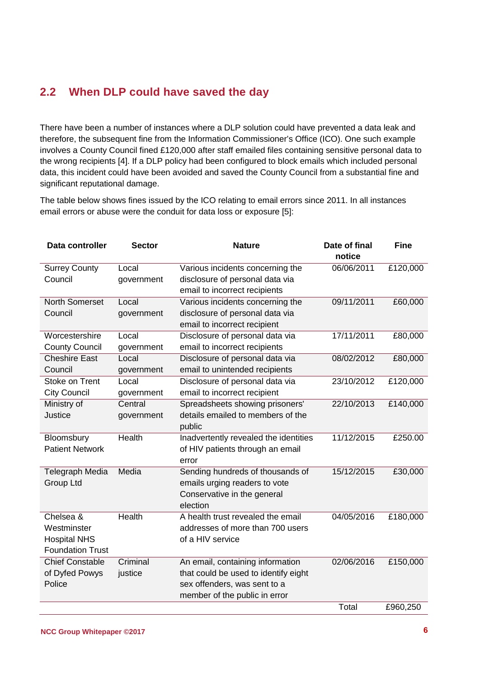#### **2.2 When DLP could have saved the day**

There have been a number of instances where a DLP solution could have prevented a data leak and therefore, the subsequent fine from the Information Commissioner's Office (ICO). One such example involves a County Council fined £120,000 after staff emailed files containing sensitive personal data to the wrong recipients [4]. If a DLP policy had been configured to block emails which included personal data, this incident could have been avoided and saved the County Council from a substantial fine and significant reputational damage.

The table below shows fines issued by the ICO relating to email errors since 2011. In all instances email errors or abuse were the conduit for data loss or exposure [5]:

| Data controller         | <b>Sector</b> | <b>Nature</b>                         | Date of final | <b>Fine</b> |
|-------------------------|---------------|---------------------------------------|---------------|-------------|
|                         |               |                                       | notice        |             |
| <b>Surrey County</b>    | Local         | Various incidents concerning the      | 06/06/2011    | £120,000    |
| Council                 | government    | disclosure of personal data via       |               |             |
|                         |               | email to incorrect recipients         |               |             |
| <b>North Somerset</b>   | Local         | Various incidents concerning the      | 09/11/2011    | £60,000     |
| Council                 | government    | disclosure of personal data via       |               |             |
|                         |               | email to incorrect recipient          |               |             |
| Worcestershire          | Local         | Disclosure of personal data via       | 17/11/2011    | £80,000     |
| <b>County Council</b>   | government    | email to incorrect recipients         |               |             |
| <b>Cheshire East</b>    | Local         | Disclosure of personal data via       | 08/02/2012    | £80,000     |
| Council                 | government    | email to unintended recipients        |               |             |
| Stoke on Trent          | Local         | Disclosure of personal data via       | 23/10/2012    | £120,000    |
| <b>City Council</b>     | government    | email to incorrect recipient          |               |             |
| Ministry of             | Central       | Spreadsheets showing prisoners'       | 22/10/2013    | £140,000    |
| Justice                 | government    | details emailed to members of the     |               |             |
|                         |               | public                                |               |             |
| Bloomsbury              | Health        | Inadvertently revealed the identities | 11/12/2015    | £250.00     |
| <b>Patient Network</b>  |               | of HIV patients through an email      |               |             |
|                         |               | error                                 |               |             |
| <b>Telegraph Media</b>  | Media         | Sending hundreds of thousands of      | 15/12/2015    | £30,000     |
| <b>Group Ltd</b>        |               | emails urging readers to vote         |               |             |
|                         |               | Conservative in the general           |               |             |
|                         |               | election                              |               |             |
| Chelsea &               | Health        | A health trust revealed the email     | 04/05/2016    | £180,000    |
| Westminster             |               | addresses of more than 700 users      |               |             |
| <b>Hospital NHS</b>     |               | of a HIV service                      |               |             |
| <b>Foundation Trust</b> |               |                                       |               |             |
| <b>Chief Constable</b>  | Criminal      | An email, containing information      | 02/06/2016    | £150,000    |
| of Dyfed Powys          | justice       | that could be used to identify eight  |               |             |
| Police                  |               | sex offenders, was sent to a          |               |             |
|                         |               | member of the public in error         |               |             |
|                         |               |                                       | Total         | £960,250    |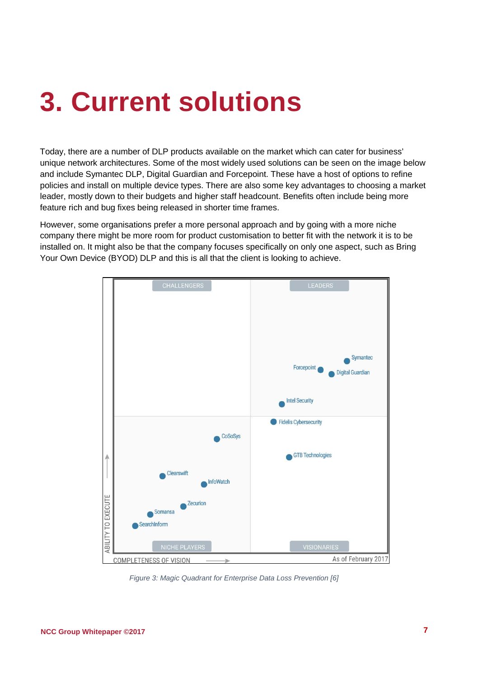### <span id="page-6-0"></span>**3. Current solutions**

Today, there are a number of DLP products available on the market which can cater for business' unique network architectures. Some of the most widely used solutions can be seen on the image below and include Symantec DLP, Digital Guardian and Forcepoint. These have a host of options to refine policies and install on multiple device types. There are also some key advantages to choosing a market leader, mostly down to their budgets and higher staff headcount. Benefits often include being more feature rich and bug fixes being released in shorter time frames.

However, some organisations prefer a more personal approach and by going with a more niche company there might be more room for product customisation to better fit with the network it is to be installed on. It might also be that the company focuses specifically on only one aspect, such as Bring Your Own Device (BYOD) DLP and this is all that the client is looking to achieve.



<span id="page-6-1"></span>*Figure 3: Magic Quadrant for Enterprise Data Loss Prevention [6]*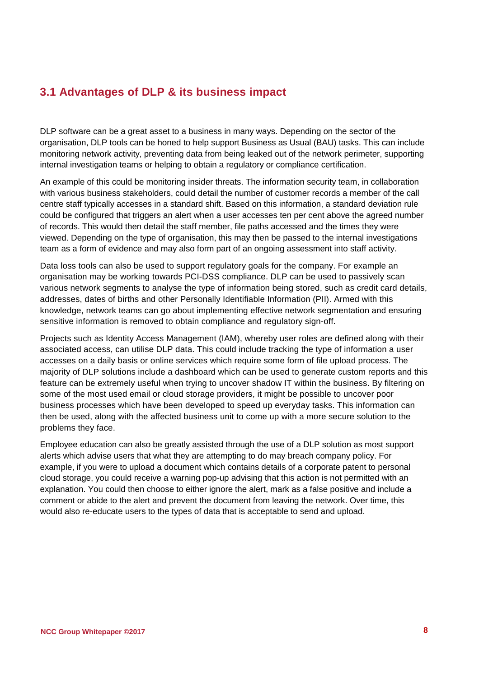#### **3.1 Advantages of DLP & its business impact**

DLP software can be a great asset to a business in many ways. Depending on the sector of the organisation, DLP tools can be honed to help support Business as Usual (BAU) tasks. This can include monitoring network activity, preventing data from being leaked out of the network perimeter, supporting internal investigation teams or helping to obtain a regulatory or compliance certification.

An example of this could be monitoring insider threats. The information security team, in collaboration with various business stakeholders, could detail the number of customer records a member of the call centre staff typically accesses in a standard shift. Based on this information, a standard deviation rule could be configured that triggers an alert when a user accesses ten per cent above the agreed number of records. This would then detail the staff member, file paths accessed and the times they were viewed. Depending on the type of organisation, this may then be passed to the internal investigations team as a form of evidence and may also form part of an ongoing assessment into staff activity.

Data loss tools can also be used to support regulatory goals for the company. For example an organisation may be working towards PCI-DSS compliance. DLP can be used to passively scan various network segments to analyse the type of information being stored, such as credit card details, addresses, dates of births and other Personally Identifiable Information (PII). Armed with this knowledge, network teams can go about implementing effective network segmentation and ensuring sensitive information is removed to obtain compliance and regulatory sign-off.

Projects such as Identity Access Management (IAM), whereby user roles are defined along with their associated access, can utilise DLP data. This could include tracking the type of information a user accesses on a daily basis or online services which require some form of file upload process. The majority of DLP solutions include a dashboard which can be used to generate custom reports and this feature can be extremely useful when trying to uncover shadow IT within the business. By filtering on some of the most used email or cloud storage providers, it might be possible to uncover poor business processes which have been developed to speed up everyday tasks. This information can then be used, along with the affected business unit to come up with a more secure solution to the problems they face.

Employee education can also be greatly assisted through the use of a DLP solution as most support alerts which advise users that what they are attempting to do may breach company policy. For example, if you were to upload a document which contains details of a corporate patent to personal cloud storage, you could receive a warning pop-up advising that this action is not permitted with an explanation. You could then choose to either ignore the alert, mark as a false positive and include a comment or abide to the alert and prevent the document from leaving the network. Over time, this would also re-educate users to the types of data that is acceptable to send and upload.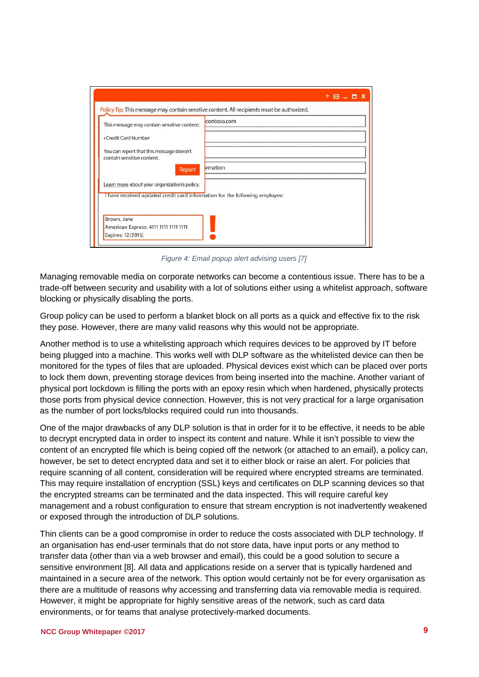| This message may contain sensitive content:                                 | contoso.com |
|-----------------------------------------------------------------------------|-------------|
| • Credit Card Number                                                        |             |
| You can report that this message doesn't<br>contain sensitive content.      |             |
| Report                                                                      | Irmation    |
| Learn more about your organization's policy.                                |             |
| I have received updated credit card information for the following employee: |             |
|                                                                             |             |

*Figure 4: Email popup alert advising users [7]*

<span id="page-8-0"></span>Managing removable media on corporate networks can become a contentious issue. There has to be a trade-off between security and usability with a lot of solutions either using a whitelist approach, software blocking or physically disabling the ports.

Group policy can be used to perform a blanket block on all ports as a quick and effective fix to the risk they pose. However, there are many valid reasons why this would not be appropriate.

Another method is to use a whitelisting approach which requires devices to be approved by IT before being plugged into a machine. This works well with DLP software as the whitelisted device can then be monitored for the types of files that are uploaded. Physical devices exist which can be placed over ports to lock them down, preventing storage devices from being inserted into the machine. Another variant of physical port lockdown is filling the ports with an epoxy resin which when hardened, physically protects those ports from physical device connection. However, this is not very practical for a large organisation as the number of port locks/blocks required could run into thousands.

One of the major drawbacks of any DLP solution is that in order for it to be effective, it needs to be able to decrypt encrypted data in order to inspect its content and nature. While it isn't possible to view the content of an encrypted file which is being copied off the network (or attached to an email), a policy can, however, be set to detect encrypted data and set it to either block or raise an alert. For policies that require scanning of all content, consideration will be required where encrypted streams are terminated. This may require installation of encryption (SSL) keys and certificates on DLP scanning devices so that the encrypted streams can be terminated and the data inspected. This will require careful key management and a robust configuration to ensure that stream encryption is not inadvertently weakened or exposed through the introduction of DLP solutions.

Thin clients can be a good compromise in order to reduce the costs associated with DLP technology. If an organisation has end-user terminals that do not store data, have input ports or any method to transfer data (other than via a web browser and email), this could be a good solution to secure a sensitive environment [8]. All data and applications reside on a server that is typically hardened and maintained in a secure area of the network. This option would certainly not be for every organisation as there are a multitude of reasons why accessing and transferring data via removable media is required. However, it might be appropriate for highly sensitive areas of the network, such as card data environments, or for teams that analyse protectively-marked documents.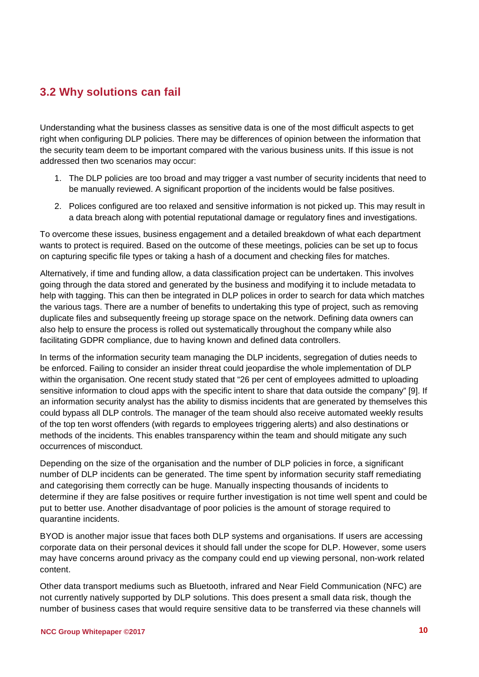#### **3.2 Why solutions can fail**

Understanding what the business classes as sensitive data is one of the most difficult aspects to get right when configuring DLP policies. There may be differences of opinion between the information that the security team deem to be important compared with the various business units. If this issue is not addressed then two scenarios may occur:

- 1. The DLP policies are too broad and may trigger a vast number of security incidents that need to be manually reviewed. A significant proportion of the incidents would be false positives.
- 2. Polices configured are too relaxed and sensitive information is not picked up. This may result in a data breach along with potential reputational damage or regulatory fines and investigations.

To overcome these issues, business engagement and a detailed breakdown of what each department wants to protect is required. Based on the outcome of these meetings, policies can be set up to focus on capturing specific file types or taking a hash of a document and checking files for matches.

Alternatively, if time and funding allow, a data classification project can be undertaken. This involves going through the data stored and generated by the business and modifying it to include metadata to help with tagging. This can then be integrated in DLP polices in order to search for data which matches the various tags. There are a number of benefits to undertaking this type of project, such as removing duplicate files and subsequently freeing up storage space on the network. Defining data owners can also help to ensure the process is rolled out systematically throughout the company while also facilitating GDPR compliance, due to having known and defined data controllers.

In terms of the information security team managing the DLP incidents, segregation of duties needs to be enforced. Failing to consider an insider threat could jeopardise the whole implementation of DLP within the organisation. One recent study stated that "26 per cent of employees admitted to uploading sensitive information to cloud apps with the specific intent to share that data outside the company" [9]. If an information security analyst has the ability to dismiss incidents that are generated by themselves this could bypass all DLP controls. The manager of the team should also receive automated weekly results of the top ten worst offenders (with regards to employees triggering alerts) and also destinations or methods of the incidents. This enables transparency within the team and should mitigate any such occurrences of misconduct.

Depending on the size of the organisation and the number of DLP policies in force, a significant number of DLP incidents can be generated. The time spent by information security staff remediating and categorising them correctly can be huge. Manually inspecting thousands of incidents to determine if they are false positives or require further investigation is not time well spent and could be put to better use. Another disadvantage of poor policies is the amount of storage required to quarantine incidents.

BYOD is another major issue that faces both DLP systems and organisations. If users are accessing corporate data on their personal devices it should fall under the scope for DLP. However, some users may have concerns around privacy as the company could end up viewing personal, non-work related content.

Other data transport mediums such as Bluetooth, infrared and Near Field Communication (NFC) are not currently natively supported by DLP solutions. This does present a small data risk, though the number of business cases that would require sensitive data to be transferred via these channels will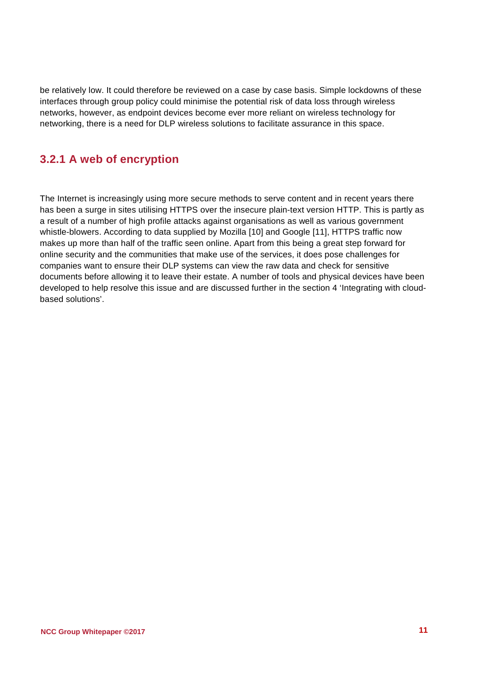be relatively low. It could therefore be reviewed on a case by case basis. Simple lockdowns of these interfaces through group policy could minimise the potential risk of data loss through wireless networks, however, as endpoint devices become ever more reliant on wireless technology for networking, there is a need for DLP wireless solutions to facilitate assurance in this space.

#### **3.2.1 A web of encryption**

The Internet is increasingly using more secure methods to serve content and in recent years there has been a surge in sites utilising HTTPS over the insecure plain-text version HTTP. This is partly as a result of a number of high profile attacks against organisations as well as various government whistle-blowers. According to data supplied by Mozilla [10] and Google [11], HTTPS traffic now makes up more than half of the traffic seen online. Apart from this being a great step forward for online security and the communities that make use of the services, it does pose challenges for companies want to ensure their DLP systems can view the raw data and check for sensitive documents before allowing it to leave their estate. A number of tools and physical devices have been developed to help resolve this issue and are discussed further in the section 4 'Integrating with cloudbased solutions'.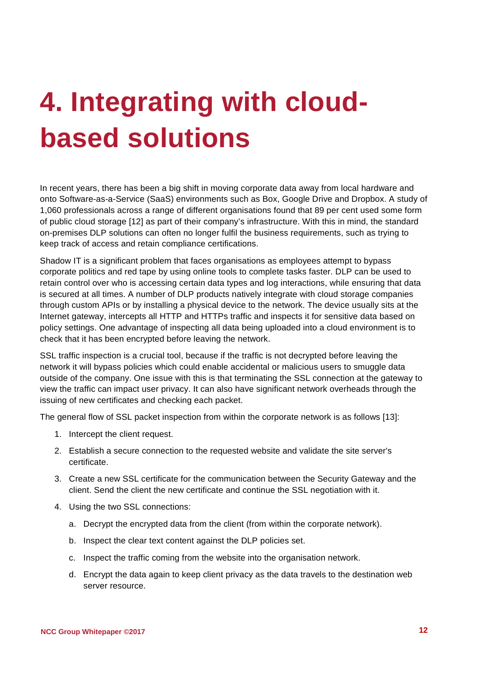# <span id="page-11-0"></span>**4. Integrating with cloudbased solutions**

In recent years, there has been a big shift in moving corporate data away from local hardware and onto Software-as-a-Service (SaaS) environments such as Box, Google Drive and Dropbox. A study of 1,060 professionals across a range of different organisations found that 89 per cent used some form of public cloud storage [12] as part of their company's infrastructure. With this in mind, the standard on-premises DLP solutions can often no longer fulfil the business requirements, such as trying to keep track of access and retain compliance certifications.

Shadow IT is a significant problem that faces organisations as employees attempt to bypass corporate politics and red tape by using online tools to complete tasks faster. DLP can be used to retain control over who is accessing certain data types and log interactions, while ensuring that data is secured at all times. A number of DLP products natively integrate with cloud storage companies through custom APIs or by installing a physical device to the network. The device usually sits at the Internet gateway, intercepts all HTTP and HTTPs traffic and inspects it for sensitive data based on policy settings. One advantage of inspecting all data being uploaded into a cloud environment is to check that it has been encrypted before leaving the network.

SSL traffic inspection is a crucial tool, because if the traffic is not decrypted before leaving the network it will bypass policies which could enable accidental or malicious users to smuggle data outside of the company. One issue with this is that terminating the SSL connection at the gateway to view the traffic can impact user privacy. It can also have significant network overheads through the issuing of new certificates and checking each packet.

The general flow of SSL packet inspection from within the corporate network is as follows [13]:

- 1. Intercept the client request.
- 2. Establish a secure connection to the requested website and validate the site server's certificate.
- 3. Create a new SSL certificate for the communication between the Security Gateway and the client. Send the client the new certificate and continue the SSL negotiation with it.
- 4. Using the two SSL connections:
	- a. Decrypt the encrypted data from the client (from within the corporate network).
	- b. Inspect the clear text content against the DLP policies set.
	- c. Inspect the traffic coming from the website into the organisation network.
	- d. Encrypt the data again to keep client privacy as the data travels to the destination web server resource.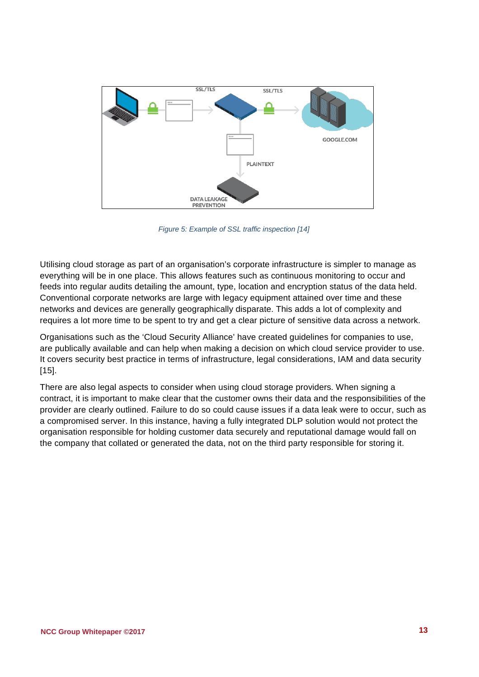

*Figure 5: Example of SSL traffic inspection [14]*

<span id="page-12-0"></span>Utilising cloud storage as part of an organisation's corporate infrastructure is simpler to manage as everything will be in one place. This allows features such as continuous monitoring to occur and feeds into regular audits detailing the amount, type, location and encryption status of the data held. Conventional corporate networks are large with legacy equipment attained over time and these networks and devices are generally geographically disparate. This adds a lot of complexity and requires a lot more time to be spent to try and get a clear picture of sensitive data across a network.

Organisations such as the 'Cloud Security Alliance' have created guidelines for companies to use, are publically available and can help when making a decision on which cloud service provider to use. It covers security best practice in terms of infrastructure, legal considerations, IAM and data security [15].

There are also legal aspects to consider when using cloud storage providers. When signing a contract, it is important to make clear that the customer owns their data and the responsibilities of the provider are clearly outlined. Failure to do so could cause issues if a data leak were to occur, such as a compromised server. In this instance, having a fully integrated DLP solution would not protect the organisation responsible for holding customer data securely and reputational damage would fall on the company that collated or generated the data, not on the third party responsible for storing it.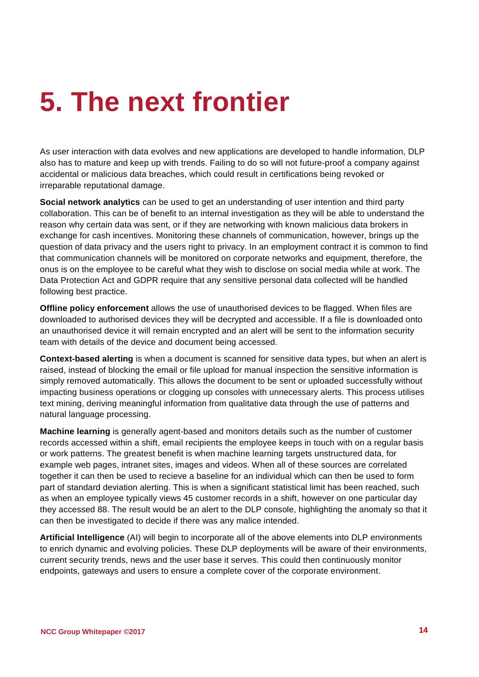### <span id="page-13-0"></span>**5. The next frontier**

As user interaction with data evolves and new applications are developed to handle information, DLP also has to mature and keep up with trends. Failing to do so will not future-proof a company against accidental or malicious data breaches, which could result in certifications being revoked or irreparable reputational damage.

**Social network analytics** can be used to get an understanding of user intention and third party collaboration. This can be of benefit to an internal investigation as they will be able to understand the reason why certain data was sent, or if they are networking with known malicious data brokers in exchange for cash incentives. Monitoring these channels of communication, however, brings up the question of data privacy and the users right to privacy. In an employment contract it is common to find that communication channels will be monitored on corporate networks and equipment, therefore, the onus is on the employee to be careful what they wish to disclose on social media while at work. The Data Protection Act and GDPR require that any sensitive personal data collected will be handled following best practice.

**Offline policy enforcement** allows the use of unauthorised devices to be flagged. When files are downloaded to authorised devices they will be decrypted and accessible. If a file is downloaded onto an unauthorised device it will remain encrypted and an alert will be sent to the information security team with details of the device and document being accessed.

**Context-based alerting** is when a document is scanned for sensitive data types, but when an alert is raised, instead of blocking the email or file upload for manual inspection the sensitive information is simply removed automatically. This allows the document to be sent or uploaded successfully without impacting business operations or clogging up consoles with unnecessary alerts. This process utilises text mining, deriving meaningful information from qualitative data through the use of patterns and natural language processing.

**Machine learning** is generally agent-based and monitors details such as the number of customer records accessed within a shift, email recipients the employee keeps in touch with on a regular basis or work patterns. The greatest benefit is when machine learning targets unstructured data, for example web pages, intranet sites, images and videos. When all of these sources are correlated together it can then be used to recieve a baseline for an individual which can then be used to form part of standard deviation alerting. This is when a significant statistical limit has been reached, such as when an employee typically views 45 customer records in a shift, however on one particular day they accessed 88. The result would be an alert to the DLP console, highlighting the anomaly so that it can then be investigated to decide if there was any malice intended.

**Artificial Intelligence** (AI) will begin to incorporate all of the above elements into DLP environments to enrich dynamic and evolving policies. These DLP deployments will be aware of their environments, current security trends, news and the user base it serves. This could then continuously monitor endpoints, gateways and users to ensure a complete cover of the corporate environment.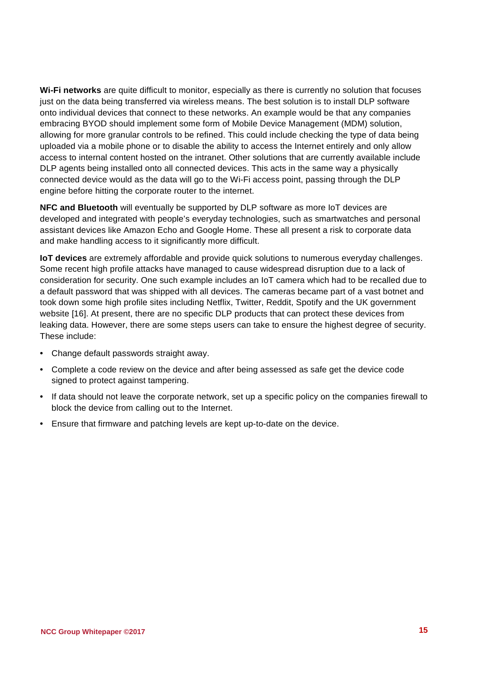**Wi-Fi networks** are quite difficult to monitor, especially as there is currently no solution that focuses just on the data being transferred via wireless means. The best solution is to install DLP software onto individual devices that connect to these networks. An example would be that any companies embracing BYOD should implement some form of Mobile Device Management (MDM) solution, allowing for more granular controls to be refined. This could include checking the type of data being uploaded via a mobile phone or to disable the ability to access the Internet entirely and only allow access to internal content hosted on the intranet. Other solutions that are currently available include DLP agents being installed onto all connected devices. This acts in the same way a physically connected device would as the data will go to the Wi-Fi access point, passing through the DLP engine before hitting the corporate router to the internet.

**NFC and Bluetooth** will eventually be supported by DLP software as more IoT devices are developed and integrated with people's everyday technologies, such as smartwatches and personal assistant devices like Amazon Echo and Google Home. These all present a risk to corporate data and make handling access to it significantly more difficult.

**IoT devices** are extremely affordable and provide quick solutions to numerous everyday challenges. Some recent high profile attacks have managed to cause widespread disruption due to a lack of consideration for security. One such example includes an IoT camera which had to be recalled due to a default password that was shipped with all devices. The cameras became part of a vast botnet and took down some high profile sites including Netflix, Twitter, Reddit, Spotify and the UK government website [16]. At present, there are no specific DLP products that can protect these devices from leaking data. However, there are some steps users can take to ensure the highest degree of security. These include:

- Change default passwords straight away.
- Complete a code review on the device and after being assessed as safe get the device code signed to protect against tampering.
- If data should not leave the corporate network, set up a specific policy on the companies firewall to block the device from calling out to the Internet.
- Ensure that firmware and patching levels are kept up-to-date on the device.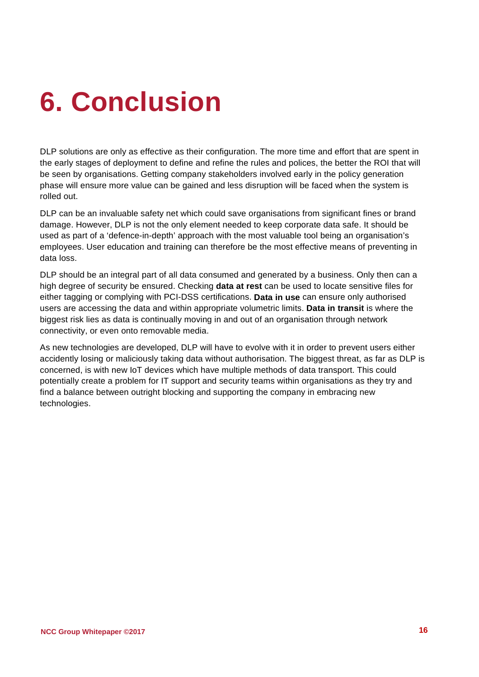# <span id="page-15-0"></span>**6. Conclusion**

DLP solutions are only as effective as their configuration. The more time and effort that are spent in the early stages of deployment to define and refine the rules and polices, the better the ROI that will be seen by organisations. Getting company stakeholders involved early in the policy generation phase will ensure more value can be gained and less disruption will be faced when the system is rolled out.

DLP can be an invaluable safety net which could save organisations from significant fines or brand damage. However, DLP is not the only element needed to keep corporate data safe. It should be used as part of a 'defence-in-depth' approach with the most valuable tool being an organisation's employees. User education and training can therefore be the most effective means of preventing in data loss.

DLP should be an integral part of all data consumed and generated by a business. Only then can a high degree of security be ensured. Checking **data at rest** can be used to locate sensitive files for either tagging or complying with PCI-DSS certifications. **Data in use** can ensure only authorised users are accessing the data and within appropriate volumetric limits. **Data in transit** is where the biggest risk lies as data is continually moving in and out of an organisation through network connectivity, or even onto removable media.

As new technologies are developed, DLP will have to evolve with it in order to prevent users either accidently losing or maliciously taking data without authorisation. The biggest threat, as far as DLP is concerned, is with new IoT devices which have multiple methods of data transport. This could potentially create a problem for IT support and security teams within organisations as they try and find a balance between outright blocking and supporting the company in embracing new technologies.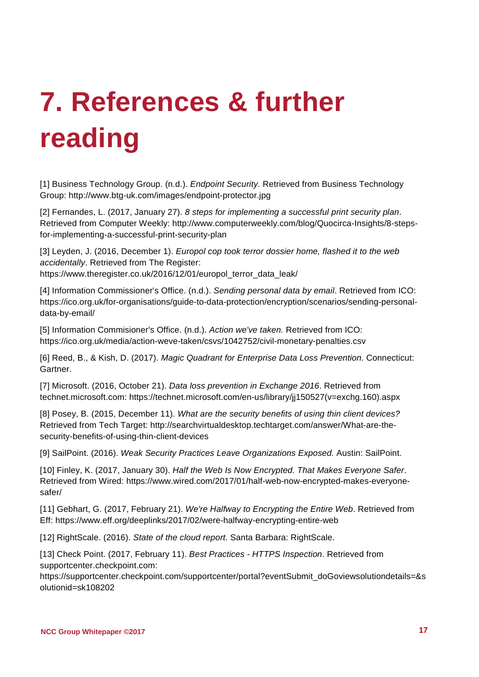# <span id="page-16-0"></span>**7. References & further reading**

[1] Business Technology Group. (n.d.). *Endpoint Security.* Retrieved from Business Technology Group: http://www.btg-uk.com/images/endpoint-protector.jpg

[2] Fernandes, L. (2017, January 27). *8 steps for implementing a successful print security plan*. Retrieved from Computer Weekly: http://www.computerweekly.com/blog/Quocirca-Insights/8-stepsfor-implementing-a-successful-print-security-plan

[3] Leyden, J. (2016, December 1). *Europol cop took terror dossier home, flashed it to the web accidentally*. Retrieved from The Register: https://www.theregister.co.uk/2016/12/01/europol\_terror\_data\_leak/

[4] Information Commissioner's Office. (n.d.). *Sending personal data by email*. Retrieved from ICO: https://ico.org.uk/for-organisations/guide-to-data-protection/encryption/scenarios/sending-personaldata-by-email/

[5] Information Commisioner's Office. (n.d.). *Action we've taken.* Retrieved from ICO: https://ico.org.uk/media/action-weve-taken/csvs/1042752/civil-monetary-penalties.csv

[6] Reed, B., & Kish, D. (2017). *Magic Quadrant for Enterprise Data Loss Prevention.* Connecticut: Gartner.

[7] Microsoft. (2016, October 21). *Data loss prevention in Exchange 2016*. Retrieved from technet.microsoft.com: https://technet.microsoft.com/en-us/library/jj150527(v=exchg.160).aspx

[8] Posey, B. (2015, December 11). *What are the security benefits of using thin client devices?* Retrieved from Tech Target: http://searchvirtualdesktop.techtarget.com/answer/What-are-thesecurity-benefits-of-using-thin-client-devices

[9] SailPoint. (2016). *Weak Security Practices Leave Organizations Exposed.* Austin: SailPoint.

[10] Finley, K. (2017, January 30). *Half the Web Is Now Encrypted. That Makes Everyone Safer*. Retrieved from Wired: https://www.wired.com/2017/01/half-web-now-encrypted-makes-everyonesafer/

[11] Gebhart, G. (2017, February 21). *We're Halfway to Encrypting the Entire Web*. Retrieved from Eff: https://www.eff.org/deeplinks/2017/02/were-halfway-encrypting-entire-web

[12] RightScale. (2016). *State of the cloud report.* Santa Barbara: RightScale.

[13] Check Point. (2017, February 11). *Best Practices - HTTPS Inspection*. Retrieved from supportcenter.checkpoint.com:

https://supportcenter.checkpoint.com/supportcenter/portal?eventSubmit\_doGoviewsolutiondetails=&s olutionid=sk108202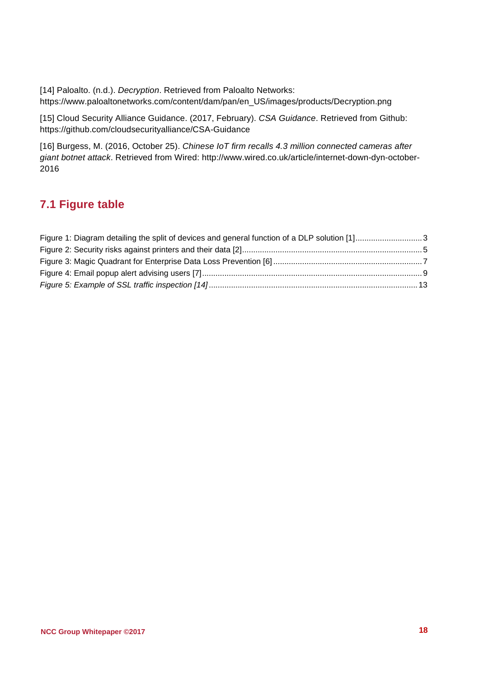[14] Paloalto. (n.d.). *Decryption*. Retrieved from Paloalto Networks: https://www.paloaltonetworks.com/content/dam/pan/en\_US/images/products/Decryption.png

[15] Cloud Security Alliance Guidance. (2017, February). *CSA Guidance*. Retrieved from Github: https://github.com/cloudsecurityalliance/CSA-Guidance

[16] Burgess, M. (2016, October 25). *Chinese IoT firm recalls 4.3 million connected cameras after giant botnet attack*. Retrieved from Wired: http://www.wired.co.uk/article/internet-down-dyn-october-2016

#### **7.1 Figure table**

| Figure 1: Diagram detailing the split of devices and general function of a DLP solution [1]3 |  |
|----------------------------------------------------------------------------------------------|--|
|                                                                                              |  |
|                                                                                              |  |
|                                                                                              |  |
|                                                                                              |  |